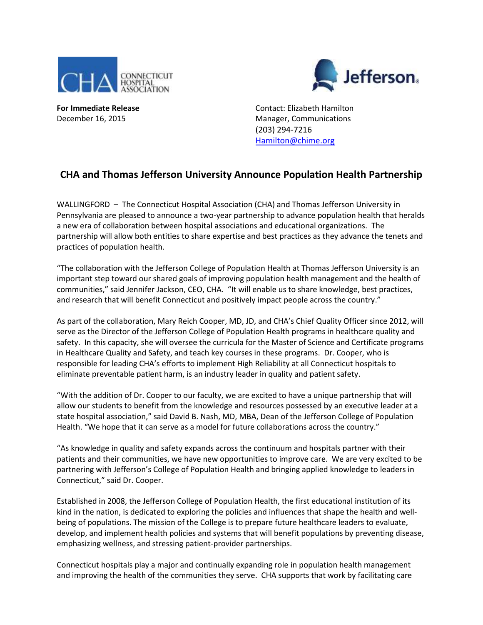

efferson.

**For Immediate Release Contact: Elizabeth Hamilton** December 16, 2015 Manager, Communications (203) 294-7216 [Hamilton@chime.org](mailto:Hamilton@chime.org)

## **CHA and Thomas Jefferson University Announce Population Health Partnership**

WALLINGFORD – The Connecticut Hospital Association (CHA) and Thomas Jefferson University in Pennsylvania are pleased to announce a two-year partnership to advance population health that heralds a new era of collaboration between hospital associations and educational organizations. The partnership will allow both entities to share expertise and best practices as they advance the tenets and practices of population health.

"The collaboration with the Jefferson College of Population Health at Thomas Jefferson University is an important step toward our shared goals of improving population health management and the health of communities," said Jennifer Jackson, CEO, CHA. "It will enable us to share knowledge, best practices, and research that will benefit Connecticut and positively impact people across the country."

As part of the collaboration, Mary Reich Cooper, MD, JD, and CHA's Chief Quality Officer since 2012, will serve as the Director of the Jefferson College of Population Health programs in healthcare quality and safety. In this capacity, she will oversee the curricula for the Master of Science and Certificate programs in Healthcare Quality and Safety, and teach key courses in these programs. Dr. Cooper, who is responsible for leading CHA's efforts to implement High Reliability at all Connecticut hospitals to eliminate preventable patient harm, is an industry leader in quality and patient safety.

"With the addition of Dr. Cooper to our faculty, we are excited to have a unique partnership that will allow our students to benefit from the knowledge and resources possessed by an executive leader at a state hospital association," said David B. Nash, MD, MBA, Dean of the Jefferson College of Population Health. "We hope that it can serve as a model for future collaborations across the country."

"As knowledge in quality and safety expands across the continuum and hospitals partner with their patients and their communities, we have new opportunities to improve care. We are very excited to be partnering with Jefferson's College of Population Health and bringing applied knowledge to leaders in Connecticut," said Dr. Cooper.

Established in 2008, the Jefferson College of Population Health, the first educational institution of its kind in the nation, is dedicated to exploring the policies and influences that shape the health and wellbeing of populations. The mission of the College is to prepare future healthcare leaders to evaluate, develop, and implement health policies and systems that will benefit populations by preventing disease, emphasizing wellness, and stressing patient-provider partnerships.

Connecticut hospitals play a major and continually expanding role in population health management and improving the health of the communities they serve. CHA supports that work by facilitating care